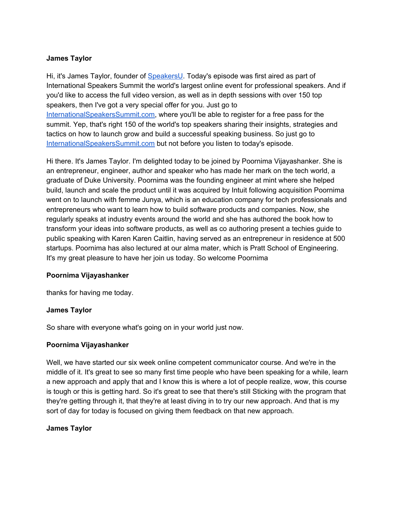## **James Taylor**

Hi, it's James Taylor, founder of [SpeakersU.](https://speakersu.com/) Today's episode was first aired as part of International Speakers Summit the world's largest online event for professional speakers. And if you'd like to access the full video version, as well as in depth sessions with over 150 top speakers, then I've got a very special offer for you. Just go to [InternationalSpeakersSummit.com](http://internationalspeakerssummit.com/), where you'll be able to register for a free pass for the summit. Yep, that's right 150 of the world's top speakers sharing their insights, strategies and tactics on how to launch grow and build a successful speaking business. So just go t[o](http://internationalspeakerssummit.com/) [InternationalSpeakersSummit.com](http://internationalspeakerssummit.com/) but not before you listen to today's episode.

Hi there. It's James Taylor. I'm delighted today to be joined by Poornima Vijayashanker. She is an entrepreneur, engineer, author and speaker who has made her mark on the tech world, a graduate of Duke University. Poornima was the founding engineer at mint where she helped build, launch and scale the product until it was acquired by Intuit following acquisition Poornima went on to launch with femme Junya, which is an education company for tech professionals and entrepreneurs who want to learn how to build software products and companies. Now, she regularly speaks at industry events around the world and she has authored the book how to transform your ideas into software products, as well as co authoring present a techies guide to public speaking with Karen Karen Caitlin, having served as an entrepreneur in residence at 500 startups. Poornima has also lectured at our alma mater, which is Pratt School of Engineering. It's my great pleasure to have her join us today. So welcome Poornima

### **Poornima Vijayashanker**

thanks for having me today.

### **James Taylor**

So share with everyone what's going on in your world just now.

### **Poornima Vijayashanker**

Well, we have started our six week online competent communicator course. And we're in the middle of it. It's great to see so many first time people who have been speaking for a while, learn a new approach and apply that and I know this is where a lot of people realize, wow, this course is tough or this is getting hard. So it's great to see that there's still Sticking with the program that they're getting through it, that they're at least diving in to try our new approach. And that is my sort of day for today is focused on giving them feedback on that new approach.

## **James Taylor**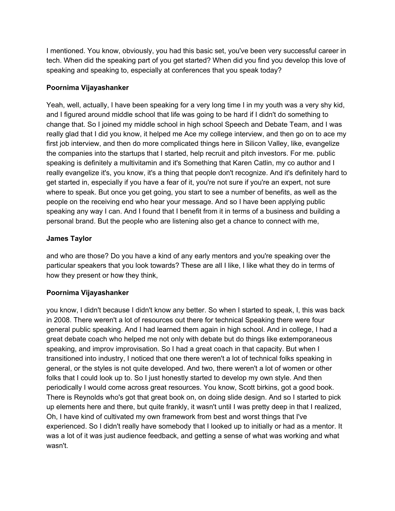I mentioned. You know, obviously, you had this basic set, you've been very successful career in tech. When did the speaking part of you get started? When did you find you develop this love of speaking and speaking to, especially at conferences that you speak today?

## **Poornima Vijayashanker**

Yeah, well, actually, I have been speaking for a very long time I in my youth was a very shy kid, and I figured around middle school that life was going to be hard if I didn't do something to change that. So I joined my middle school in high school Speech and Debate Team, and I was really glad that I did you know, it helped me Ace my college interview, and then go on to ace my first job interview, and then do more complicated things here in Silicon Valley, like, evangelize the companies into the startups that I started, help recruit and pitch investors. For me. public speaking is definitely a multivitamin and it's Something that Karen Catlin, my co author and I really evangelize it's, you know, it's a thing that people don't recognize. And it's definitely hard to get started in, especially if you have a fear of it, you're not sure if you're an expert, not sure where to speak. But once you get going, you start to see a number of benefits, as well as the people on the receiving end who hear your message. And so I have been applying public speaking any way I can. And I found that I benefit from it in terms of a business and building a personal brand. But the people who are listening also get a chance to connect with me,

## **James Taylor**

and who are those? Do you have a kind of any early mentors and you're speaking over the particular speakers that you look towards? These are all I like, I like what they do in terms of how they present or how they think,

# **Poornima Vijayashanker**

you know, I didn't because I didn't know any better. So when I started to speak, I, this was back in 2008. There weren't a lot of resources out there for technical Speaking there were four general public speaking. And I had learned them again in high school. And in college, I had a great debate coach who helped me not only with debate but do things like extemporaneous speaking, and improv improvisation. So I had a great coach in that capacity. But when I transitioned into industry, I noticed that one there weren't a lot of technical folks speaking in general, or the styles is not quite developed. And two, there weren't a lot of women or other folks that I could look up to. So I just honestly started to develop my own style. And then periodically I would come across great resources. You know, Scott birkins, got a good book. There is Reynolds who's got that great book on, on doing slide design. And so I started to pick up elements here and there, but quite frankly, it wasn't until I was pretty deep in that I realized, Oh, I have kind of cultivated my own framework from best and worst things that I've experienced. So I didn't really have somebody that I looked up to initially or had as a mentor. It was a lot of it was just audience feedback, and getting a sense of what was working and what wasn't.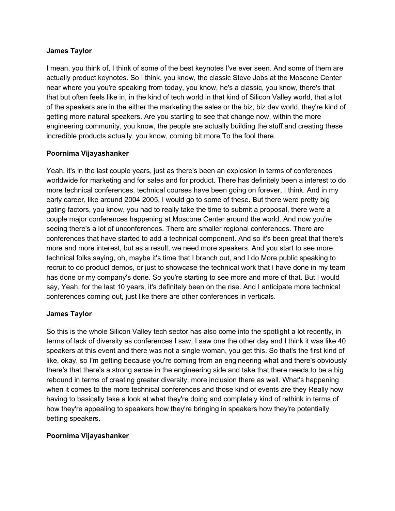### **James Taylor**

I mean, you think of, I think of some of the best keynotes I've ever seen. And some of them are actually product keynotes. So I think, you know, the classic Steve Jobs at the Moscone Center near where you you're speaking from today, you know, he's a classic, you know, there's that that but often feels like in, in the kind of tech world in that kind of Silicon Valley world, that a lot of the speakers are in the either the marketing the sales or the biz, biz dev world, they're kind of getting more natural speakers. Are you starting to see that change now, within the more engineering community, you know, the people are actually building the stuff and creating these incredible products actually, you know, coming bit more To the fool there.

### **Poornima Vijayashanker**

Yeah, it's in the last couple years, just as there's been an explosion in terms of conferences worldwide for marketing and for sales and for product. There has definitely been a interest to do more technical conferences. technical courses have been going on forever, I think. And in my early career, like around 2004 2005, I would go to some of these. But there were pretty big gating factors, you know, you had to really take the time to submit a proposal, there were a couple major conferences happening at Moscone Center around the world. And now you're seeing there's a lot of unconferences. There are smaller regional conferences. There are conferences that have started to add a technical component. And so it's been great that there's more and more interest, but as a result, we need more speakers. And you start to see more technical folks saying, oh, maybe it's time that I branch out, and I do More public speaking to recruit to do product demos, or just to showcase the technical work that I have done in my team has done or my company's done. So you're starting to see more and more of that. But I would say, Yeah, for the last 10 years, it's definitely been on the rise. And I anticipate more technical conferences coming out, just like there are other conferences in verticals.

### **James Taylor**

So this is the whole Silicon Valley tech sector has also come into the spotlight a lot recently, in terms of lack of diversity as conferences I saw, I saw one the other day and I think it was like 40 speakers at this event and there was not a single woman, you get this. So that's the first kind of like, okay, so I'm getting because you're coming from an engineering what and there's obviously there's that there's a strong sense in the engineering side and take that there needs to be a big rebound in terms of creating greater diversity, more inclusion there as well. What's happening when it comes to the more technical conferences and those kind of events are they Really now having to basically take a look at what they're doing and completely kind of rethink in terms of how they're appealing to speakers how they're bringing in speakers how they're potentially betting speakers.

### **Poornima Vijayashanker**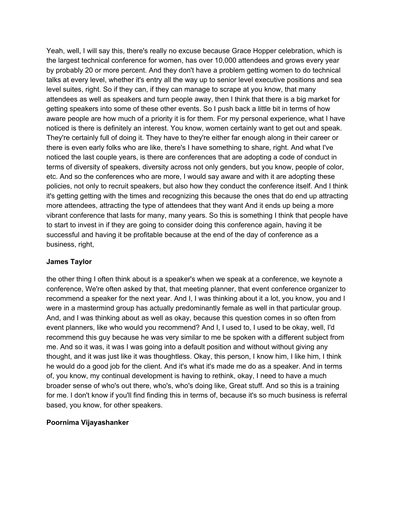Yeah, well, I will say this, there's really no excuse because Grace Hopper celebration, which is the largest technical conference for women, has over 10,000 attendees and grows every year by probably 20 or more percent. And they don't have a problem getting women to do technical talks at every level, whether it's entry all the way up to senior level executive positions and sea level suites, right. So if they can, if they can manage to scrape at you know, that many attendees as well as speakers and turn people away, then I think that there is a big market for getting speakers into some of these other events. So I push back a little bit in terms of how aware people are how much of a priority it is for them. For my personal experience, what I have noticed is there is definitely an interest. You know, women certainly want to get out and speak. They're certainly full of doing it. They have to they're either far enough along in their career or there is even early folks who are like, there's I have something to share, right. And what I've noticed the last couple years, is there are conferences that are adopting a code of conduct in terms of diversity of speakers, diversity across not only genders, but you know, people of color, etc. And so the conferences who are more, I would say aware and with it are adopting these policies, not only to recruit speakers, but also how they conduct the conference itself. And I think it's getting getting with the times and recognizing this because the ones that do end up attracting more attendees, attracting the type of attendees that they want And it ends up being a more vibrant conference that lasts for many, many years. So this is something I think that people have to start to invest in if they are going to consider doing this conference again, having it be successful and having it be profitable because at the end of the day of conference as a business, right,

### **James Taylor**

the other thing I often think about is a speaker's when we speak at a conference, we keynote a conference, We're often asked by that, that meeting planner, that event conference organizer to recommend a speaker for the next year. And I, I was thinking about it a lot, you know, you and I were in a mastermind group has actually predominantly female as well in that particular group. And, and I was thinking about as well as okay, because this question comes in so often from event planners, like who would you recommend? And I, I used to, I used to be okay, well, I'd recommend this guy because he was very similar to me be spoken with a different subject from me. And so it was, it was I was going into a default position and without without giving any thought, and it was just like it was thoughtless. Okay, this person, I know him, I like him, I think he would do a good job for the client. And it's what it's made me do as a speaker. And in terms of, you know, my continual development is having to rethink, okay, I need to have a much broader sense of who's out there, who's, who's doing like, Great stuff. And so this is a training for me. I don't know if you'll find finding this in terms of, because it's so much business is referral based, you know, for other speakers.

## **Poornima Vijayashanker**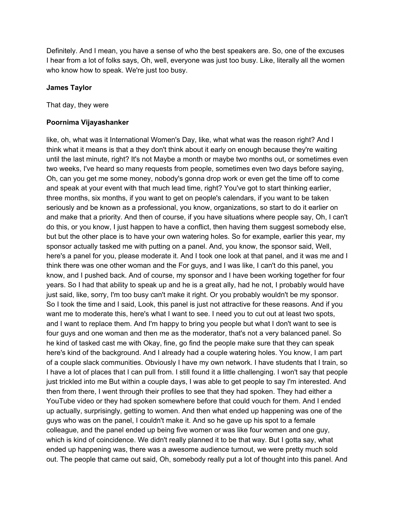Definitely. And I mean, you have a sense of who the best speakers are. So, one of the excuses I hear from a lot of folks says, Oh, well, everyone was just too busy. Like, literally all the women who know how to speak. We're just too busy.

### **James Taylor**

That day, they were

#### **Poornima Vijayashanker**

like, oh, what was it International Women's Day, like, what what was the reason right? And I think what it means is that a they don't think about it early on enough because they're waiting until the last minute, right? It's not Maybe a month or maybe two months out, or sometimes even two weeks, I've heard so many requests from people, sometimes even two days before saying, Oh, can you get me some money, nobody's gonna drop work or even get the time off to come and speak at your event with that much lead time, right? You've got to start thinking earlier, three months, six months, if you want to get on people's calendars, if you want to be taken seriously and be known as a professional, you know, organizations, so start to do it earlier on and make that a priority. And then of course, if you have situations where people say, Oh, I can't do this, or you know, I just happen to have a conflict, then having them suggest somebody else, but but the other place is to have your own watering holes. So for example, earlier this year, my sponsor actually tasked me with putting on a panel. And, you know, the sponsor said, Well, here's a panel for you, please moderate it. And I took one look at that panel, and it was me and I think there was one other woman and the For guys, and I was like, I can't do this panel, you know, and I pushed back. And of course, my sponsor and I have been working together for four years. So I had that ability to speak up and he is a great ally, had he not, I probably would have just said, like, sorry, I'm too busy can't make it right. Or you probably wouldn't be my sponsor. So I took the time and I said, Look, this panel is just not attractive for these reasons. And if you want me to moderate this, here's what I want to see. I need you to cut out at least two spots, and I want to replace them. And I'm happy to bring you people but what I don't want to see is four guys and one woman and then me as the moderator, that's not a very balanced panel. So he kind of tasked cast me with Okay, fine, go find the people make sure that they can speak here's kind of the background. And I already had a couple watering holes. You know, I am part of a couple slack communities. Obviously I have my own network. I have students that I train, so I have a lot of places that I can pull from. I still found it a little challenging. I won't say that people just trickled into me But within a couple days, I was able to get people to say I'm interested. And then from there, I went through their profiles to see that they had spoken. They had either a YouTube video or they had spoken somewhere before that could vouch for them. And I ended up actually, surprisingly, getting to women. And then what ended up happening was one of the guys who was on the panel, I couldn't make it. And so he gave up his spot to a female colleague, and the panel ended up being five women or was like four women and one guy, which is kind of coincidence. We didn't really planned it to be that way. But I gotta say, what ended up happening was, there was a awesome audience turnout, we were pretty much sold out. The people that came out said, Oh, somebody really put a lot of thought into this panel. And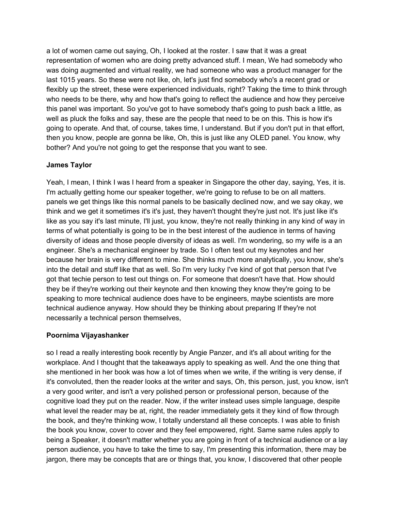a lot of women came out saying, Oh, I looked at the roster. I saw that it was a great representation of women who are doing pretty advanced stuff. I mean, We had somebody who was doing augmented and virtual reality, we had someone who was a product manager for the last 1015 years. So these were not like, oh, let's just find somebody who's a recent grad or flexibly up the street, these were experienced individuals, right? Taking the time to think through who needs to be there, why and how that's going to reflect the audience and how they perceive this panel was important. So you've got to have somebody that's going to push back a little, as well as pluck the folks and say, these are the people that need to be on this. This is how it's going to operate. And that, of course, takes time, I understand. But if you don't put in that effort, then you know, people are gonna be like, Oh, this is just like any OLED panel. You know, why bother? And you're not going to get the response that you want to see.

## **James Taylor**

Yeah, I mean, I think I was I heard from a speaker in Singapore the other day, saying, Yes, it is. I'm actually getting home our speaker together, we're going to refuse to be on all matters. panels we get things like this normal panels to be basically declined now, and we say okay, we think and we get it sometimes it's it's just, they haven't thought they're just not. It's just like it's like as you say it's last minute, I'll just, you know, they're not really thinking in any kind of way in terms of what potentially is going to be in the best interest of the audience in terms of having diversity of ideas and those people diversity of ideas as well. I'm wondering, so my wife is a an engineer. She's a mechanical engineer by trade. So I often test out my keynotes and her because her brain is very different to mine. She thinks much more analytically, you know, she's into the detail and stuff like that as well. So I'm very lucky I've kind of got that person that I've got that techie person to test out things on. For someone that doesn't have that. How should they be if they're working out their keynote and then knowing they know they're going to be speaking to more technical audience does have to be engineers, maybe scientists are more technical audience anyway. How should they be thinking about preparing If they're not necessarily a technical person themselves,

### **Poornima Vijayashanker**

so I read a really interesting book recently by Angie Panzer, and it's all about writing for the workplace. And I thought that the takeaways apply to speaking as well. And the one thing that she mentioned in her book was how a lot of times when we write, if the writing is very dense, if it's convoluted, then the reader looks at the writer and says, Oh, this person, just, you know, isn't a very good writer, and isn't a very polished person or professional person, because of the cognitive load they put on the reader. Now, if the writer instead uses simple language, despite what level the reader may be at, right, the reader immediately gets it they kind of flow through the book, and they're thinking wow, I totally understand all these concepts. I was able to finish the book you know, cover to cover and they feel empowered, right. Same same rules apply to being a Speaker, it doesn't matter whether you are going in front of a technical audience or a lay person audience, you have to take the time to say, I'm presenting this information, there may be jargon, there may be concepts that are or things that, you know, I discovered that other people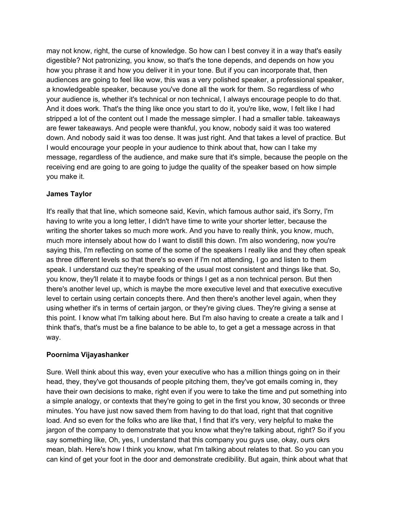may not know, right, the curse of knowledge. So how can I best convey it in a way that's easily digestible? Not patronizing, you know, so that's the tone depends, and depends on how you how you phrase it and how you deliver it in your tone. But if you can incorporate that, then audiences are going to feel like wow, this was a very polished speaker, a professional speaker, a knowledgeable speaker, because you've done all the work for them. So regardless of who your audience is, whether it's technical or non technical, I always encourage people to do that. And it does work. That's the thing like once you start to do it, you're like, wow, I felt like I had stripped a lot of the content out I made the message simpler. I had a smaller table. takeaways are fewer takeaways. And people were thankful, you know, nobody said it was too watered down. And nobody said it was too dense. It was just right. And that takes a level of practice. But I would encourage your people in your audience to think about that, how can I take my message, regardless of the audience, and make sure that it's simple, because the people on the receiving end are going to are going to judge the quality of the speaker based on how simple you make it.

## **James Taylor**

It's really that that line, which someone said, Kevin, which famous author said, it's Sorry, I'm having to write you a long letter, I didn't have time to write your shorter letter, because the writing the shorter takes so much more work. And you have to really think, you know, much, much more intensely about how do I want to distill this down. I'm also wondering, now you're saying this, I'm reflecting on some of the some of the speakers I really like and they often speak as three different levels so that there's so even if I'm not attending, I go and listen to them speak. I understand cuz they're speaking of the usual most consistent and things like that. So, you know, they'll relate it to maybe foods or things I get as a non technical person. But then there's another level up, which is maybe the more executive level and that executive executive level to certain using certain concepts there. And then there's another level again, when they using whether it's in terms of certain jargon, or they're giving clues. They're giving a sense at this point. I know what I'm talking about here. But I'm also having to create a create a talk and I think that's, that's must be a fine balance to be able to, to get a get a message across in that way.

### **Poornima Vijayashanker**

Sure. Well think about this way, even your executive who has a million things going on in their head, they, they've got thousands of people pitching them, they've got emails coming in, they have their own decisions to make, right even if you were to take the time and put something into a simple analogy, or contexts that they're going to get in the first you know, 30 seconds or three minutes. You have just now saved them from having to do that load, right that that cognitive load. And so even for the folks who are like that, I find that it's very, very helpful to make the jargon of the company to demonstrate that you know what they're talking about, right? So if you say something like, Oh, yes, I understand that this company you guys use, okay, ours okrs mean, blah. Here's how I think you know, what I'm talking about relates to that. So you can you can kind of get your foot in the door and demonstrate credibility. But again, think about what that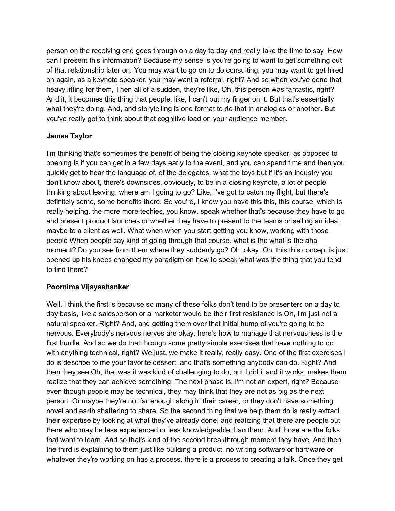person on the receiving end goes through on a day to day and really take the time to say, How can I present this information? Because my sense is you're going to want to get something out of that relationship later on. You may want to go on to do consulting, you may want to get hired on again, as a keynote speaker, you may want a referral, right? And so when you've done that heavy lifting for them, Then all of a sudden, they're like, Oh, this person was fantastic, right? And it, it becomes this thing that people, like, I can't put my finger on it. But that's essentially what they're doing. And, and storytelling is one format to do that in analogies or another. But you've really got to think about that cognitive load on your audience member.

## **James Taylor**

I'm thinking that's sometimes the benefit of being the closing keynote speaker, as opposed to opening is if you can get in a few days early to the event, and you can spend time and then you quickly get to hear the language of, of the delegates, what the toys but if it's an industry you don't know about, there's downsides, obviously, to be in a closing keynote, a lot of people thinking about leaving, where am I going to go? Like, I've got to catch my flight, but there's definitely some, some benefits there. So you're, I know you have this this, this course, which is really helping, the more more techies, you know, speak whether that's because they have to go and present product launches or whether they have to present to the teams or selling an idea, maybe to a client as well. What when when you start getting you know, working with those people When people say kind of going through that course, what is the what is the aha moment? Do you see from them where they suddenly go? Oh, okay. Oh, this this concept is just opened up his knees changed my paradigm on how to speak what was the thing that you tend to find there?

## **Poornima Vijayashanker**

Well, I think the first is because so many of these folks don't tend to be presenters on a day to day basis, like a salesperson or a marketer would be their first resistance is Oh, I'm just not a natural speaker. Right? And, and getting them over that initial hump of you're going to be nervous. Everybody's nervous nerves are okay, here's how to manage that nervousness is the first hurdle. And so we do that through some pretty simple exercises that have nothing to do with anything technical, right? We just, we make it really, really easy. One of the first exercises I do is describe to me your favorite dessert, and that's something anybody can do. Right? And then they see Oh, that was it was kind of challenging to do, but I did it and it works. makes them realize that they can achieve something. The next phase is, I'm not an expert, right? Because even though people may be technical, they may think that they are not as big as the next person. Or maybe they're not far enough along in their career, or they don't have something novel and earth shattering to share. So the second thing that we help them do is really extract their expertise by looking at what they've already done, and realizing that there are people out there who may be less experienced or less knowledgeable than them. And those are the folks that want to learn. And so that's kind of the second breakthrough moment they have. And then the third is explaining to them just like building a product, no writing software or hardware or whatever they're working on has a process, there is a process to creating a talk. Once they get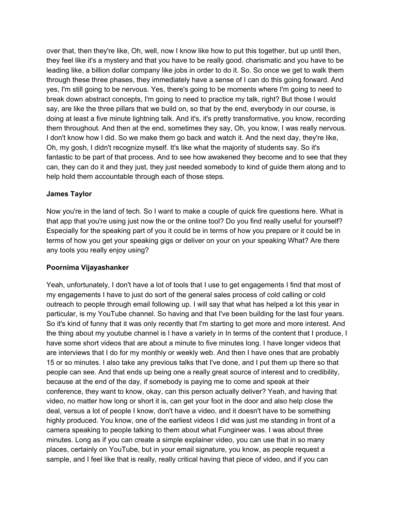over that, then they're like, Oh, well, now I know like how to put this together, but up until then, they feel like it's a mystery and that you have to be really good. charismatic and you have to be leading like, a billion dollar company like jobs in order to do it. So. So once we get to walk them through these three phases, they immediately have a sense of I can do this going forward. And yes, I'm still going to be nervous. Yes, there's going to be moments where I'm going to need to break down abstract concepts, I'm going to need to practice my talk, right? But those I would say, are like the three pillars that we build on, so that by the end, everybody in our course, is doing at least a five minute lightning talk. And it's, it's pretty transformative, you know, recording them throughout. And then at the end, sometimes they say, Oh, you know, I was really nervous. I don't know how I did. So we make them go back and watch it. And the next day, they're like, Oh, my gosh, I didn't recognize myself. It's like what the majority of students say. So it's fantastic to be part of that process. And to see how awakened they become and to see that they can, they can do it and they just, they just needed somebody to kind of guide them along and to help hold them accountable through each of those steps.

## **James Taylor**

Now you're in the land of tech. So I want to make a couple of quick fire questions here. What is that app that you're using just now the or the online tool? Do you find really useful for yourself? Especially for the speaking part of you it could be in terms of how you prepare or it could be in terms of how you get your speaking gigs or deliver on your on your speaking What? Are there any tools you really enjoy using?

## **Poornima Vijayashanker**

Yeah, unfortunately, I don't have a lot of tools that I use to get engagements I find that most of my engagements I have to just do sort of the general sales process of cold calling or cold outreach to people through email following up. I will say that what has helped a lot this year in particular, is my YouTube channel. So having and that I've been building for the last four years. So it's kind of funny that it was only recently that I'm starting to get more and more interest. And the thing about my youtube channel is I have a variety in In terms of the content that I produce, I have some short videos that are about a minute to five minutes long. I have longer videos that are interviews that I do for my monthly or weekly web. And then I have ones that are probably 15 or so minutes. I also take any previous talks that I've done, and I put them up there so that people can see. And that ends up being one a really great source of interest and to credibility, because at the end of the day, if somebody is paying me to come and speak at their conference, they want to know, okay, can this person actually deliver? Yeah, and having that video, no matter how long or short it is, can get your foot in the door and also help close the deal, versus a lot of people I know, don't have a video, and it doesn't have to be something highly produced. You know, one of the earliest videos I did was just me standing in front of a camera speaking to people talking to them about what Fungineer was. I was about three minutes. Long as if you can create a simple explainer video, you can use that in so many places, certainly on YouTube, but in your email signature, you know, as people request a sample, and I feel like that is really, really critical having that piece of video, and if you can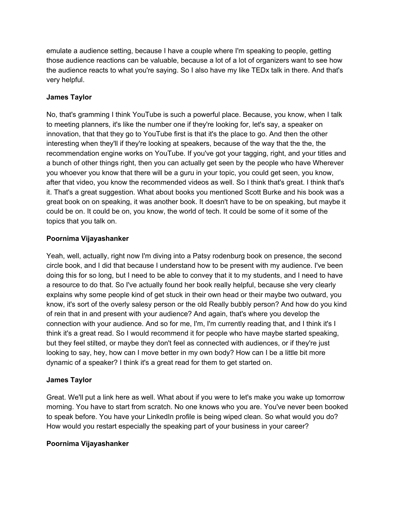emulate a audience setting, because I have a couple where I'm speaking to people, getting those audience reactions can be valuable, because a lot of a lot of organizers want to see how the audience reacts to what you're saying. So I also have my like TEDx talk in there. And that's very helpful.

## **James Taylor**

No, that's gramming I think YouTube is such a powerful place. Because, you know, when I talk to meeting planners, it's like the number one if they're looking for, let's say, a speaker on innovation, that that they go to YouTube first is that it's the place to go. And then the other interesting when they'll if they're looking at speakers, because of the way that the the, the recommendation engine works on YouTube. If you've got your tagging, right, and your titles and a bunch of other things right, then you can actually get seen by the people who have Wherever you whoever you know that there will be a guru in your topic, you could get seen, you know, after that video, you know the recommended videos as well. So I think that's great. I think that's it. That's a great suggestion. What about books you mentioned Scott Burke and his book was a great book on on speaking, it was another book. It doesn't have to be on speaking, but maybe it could be on. It could be on, you know, the world of tech. It could be some of it some of the topics that you talk on.

## **Poornima Vijayashanker**

Yeah, well, actually, right now I'm diving into a Patsy rodenburg book on presence, the second circle book, and I did that because I understand how to be present with my audience. I've been doing this for so long, but I need to be able to convey that it to my students, and I need to have a resource to do that. So I've actually found her book really helpful, because she very clearly explains why some people kind of get stuck in their own head or their maybe two outward, you know, it's sort of the overly salesy person or the old Really bubbly person? And how do you kind of rein that in and present with your audience? And again, that's where you develop the connection with your audience. And so for me, I'm, I'm currently reading that, and I think it's I think it's a great read. So I would recommend it for people who have maybe started speaking, but they feel stilted, or maybe they don't feel as connected with audiences, or if they're just looking to say, hey, how can I move better in my own body? How can I be a little bit more dynamic of a speaker? I think it's a great read for them to get started on.

# **James Taylor**

Great. We'll put a link here as well. What about if you were to let's make you wake up tomorrow morning. You have to start from scratch. No one knows who you are. You've never been booked to speak before. You have your LinkedIn profile is being wiped clean. So what would you do? How would you restart especially the speaking part of your business in your career?

## **Poornima Vijayashanker**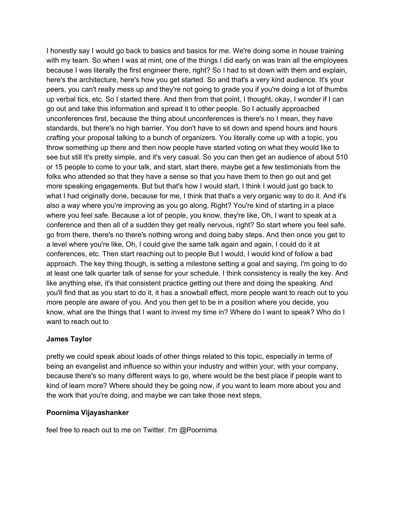I honestly say I would go back to basics and basics for me. We're doing some in house training with my team. So when I was at mint, one of the things I did early on was train all the employees because I was literally the first engineer there, right? So I had to sit down with them and explain, here's the architecture, here's how you get started. So and that's a very kind audience. It's your peers, you can't really mess up and they're not going to grade you if you're doing a lot of thumbs up verbal tics, etc. So I started there. And then from that point, I thought, okay, I wonder if I can go out and take this information and spread it to other people. So I actually approached unconferences first, because the thing about unconferences is there's no I mean, they have standards, but there's no high barrier. You don't have to sit down and spend hours and hours crafting your proposal talking to a bunch of organizers. You literally come up with a topic, you throw something up there and then now people have started voting on what they would like to see but still It's pretty simple, and it's very casual. So you can then get an audience of about 510 or 15 people to come to your talk, and start, start there, maybe get a few testimonials from the folks who attended so that they have a sense so that you have them to then go out and get more speaking engagements. But but that's how I would start, I think I would just go back to what I had originally done, because for me, I think that that's a very organic way to do it. And it's also a way where you're improving as you go along. Right? You're kind of starting in a place where you feel safe. Because a lot of people, you know, they're like, Oh, I want to speak at a conference and then all of a sudden they get really nervous, right? So start where you feel safe. go from there, there's no there's nothing wrong and doing baby steps. And then once you get to a level where you're like, Oh, I could give the same talk again and again, I could do it at conferences, etc. Then start reaching out to people But I would, I would kind of follow a bad approach. The key thing though, is setting a milestone setting a goal and saying, I'm going to do at least one talk quarter talk of sense for your schedule. I think consistency is really the key. And like anything else, it's that consistent practice getting out there and doing the speaking. And you'll find that as you start to do it, it has a snowball effect, more people want to reach out to you more people are aware of you. And you then get to be in a position where you decide, you know, what are the things that I want to invest my time in? Where do I want to speak? Who do I want to reach out to

## **James Taylor**

pretty we could speak about loads of other things related to this topic, especially in terms of being an evangelist and influence so within your industry and within your, with your company, because there's so many different ways to go, where would be the best place if people want to kind of learn more? Where should they be going now, if you want to learn more about you and the work that you're doing, and maybe we can take those next steps,

### **Poornima Vijayashanker**

feel free to reach out to me on Twitter. I'm @Poornima